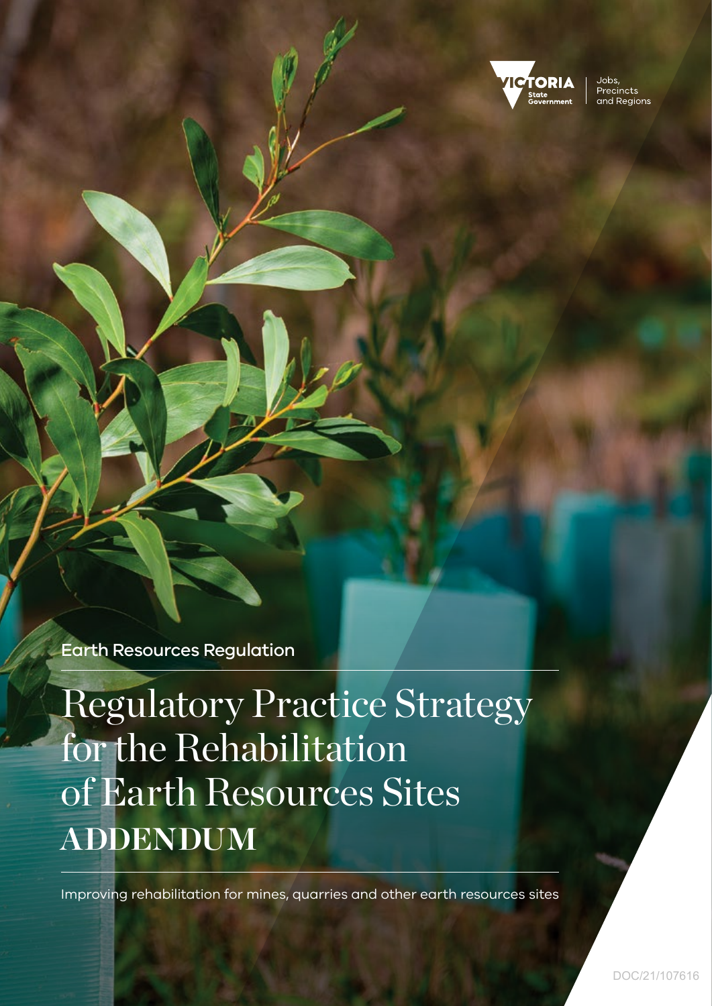

Jobs Precincts and Regions

Earth Resources Regulation

Regulatory Practice Strategy for the Rehabilitation of Earth Resources Sites **ADDENDUM**

Improving rehabilitation for mines, quarries and other earth resources sites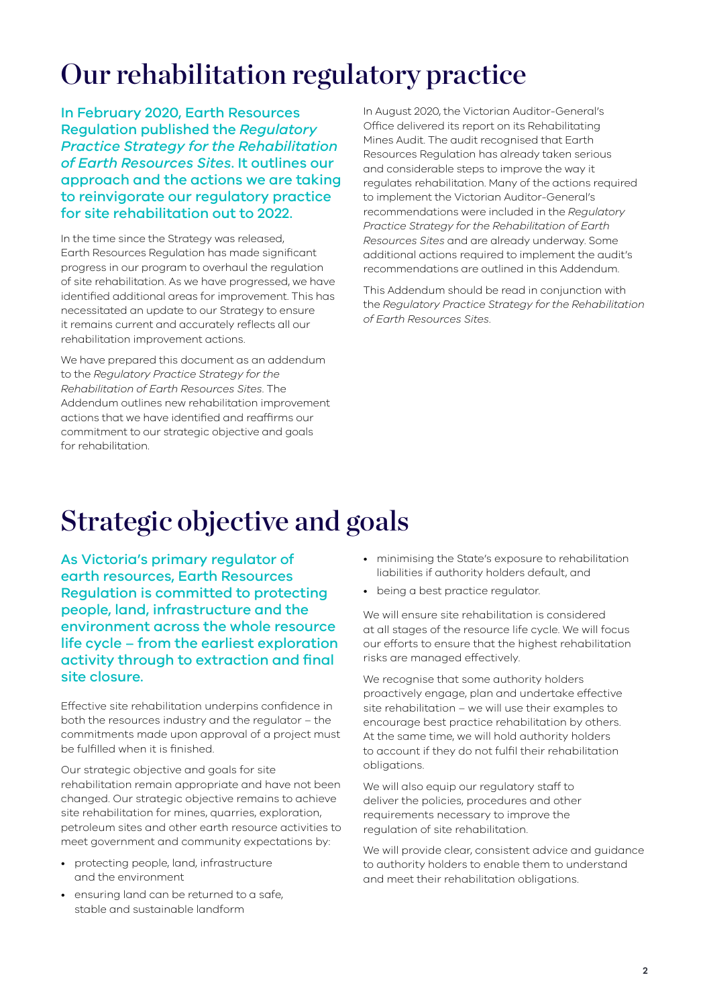## Our rehabilitation regulatory practice

In February 2020, Earth Resources Regulation published the *Regulatory Practice Strategy for the Rehabilitation of Earth Resources Sites*. It outlines our approach and the actions we are taking to reinvigorate our regulatory practice for site rehabilitation out to 2022.

In the time since the Strategy was released, Earth Resources Regulation has made significant progress in our program to overhaul the regulation of site rehabilitation. As we have progressed, we have identified additional areas for improvement. This has necessitated an update to our Strategy to ensure it remains current and accurately reflects all our rehabilitation improvement actions.

We have prepared this document as an addendum to the *Regulatory Practice Strategy for the Rehabilitation of Earth Resources Sites*. The Addendum outlines new rehabilitation improvement actions that we have identified and reaffirms our commitment to our strategic objective and goals for rehabilitation.

In August 2020, the Victorian Auditor-General's Office delivered its report on its Rehabilitating Mines Audit. The audit recognised that Earth Resources Regulation has already taken serious and considerable steps to improve the way it regulates rehabilitation. Many of the actions required to implement the Victorian Auditor-General's recommendations were included in the *Regulatory Practice Strategy for the Rehabilitation of Earth Resources Sites* and are already underway. Some additional actions required to implement the audit's recommendations are outlined in this Addendum.

This Addendum should be read in conjunction with the *Regulatory Practice Strategy for the Rehabilitation of Earth Resources Sites*.

### Strategic objective and goals

As Victoria's primary regulator of earth resources, Earth Resources Regulation is committed to protecting people, land, infrastructure and the environment across the whole resource life cycle – from the earliest exploration activity through to extraction and final site closure.

Effective site rehabilitation underpins confidence in both the resources industry and the regulator – the commitments made upon approval of a project must be fulfilled when it is finished.

Our strategic objective and goals for site rehabilitation remain appropriate and have not been changed. Our strategic objective remains to achieve site rehabilitation for mines, quarries, exploration, petroleum sites and other earth resource activities to meet government and community expectations by:

- protecting people, land, infrastructure and the environment
- ensuring land can be returned to a safe, stable and sustainable landform
- minimising the State's exposure to rehabilitation liabilities if authority holders default, and
- being a best practice regulator.

We will ensure site rehabilitation is considered at all stages of the resource life cycle. We will focus our efforts to ensure that the highest rehabilitation risks are managed effectively.

We recognise that some authority holders proactively engage, plan and undertake effective site rehabilitation – we will use their examples to encourage best practice rehabilitation by others. At the same time, we will hold authority holders to account if they do not fulfil their rehabilitation obligations.

We will also equip our regulatory staff to deliver the policies, procedures and other requirements necessary to improve the regulation of site rehabilitation.

We will provide clear, consistent advice and guidance to authority holders to enable them to understand and meet their rehabilitation obligations.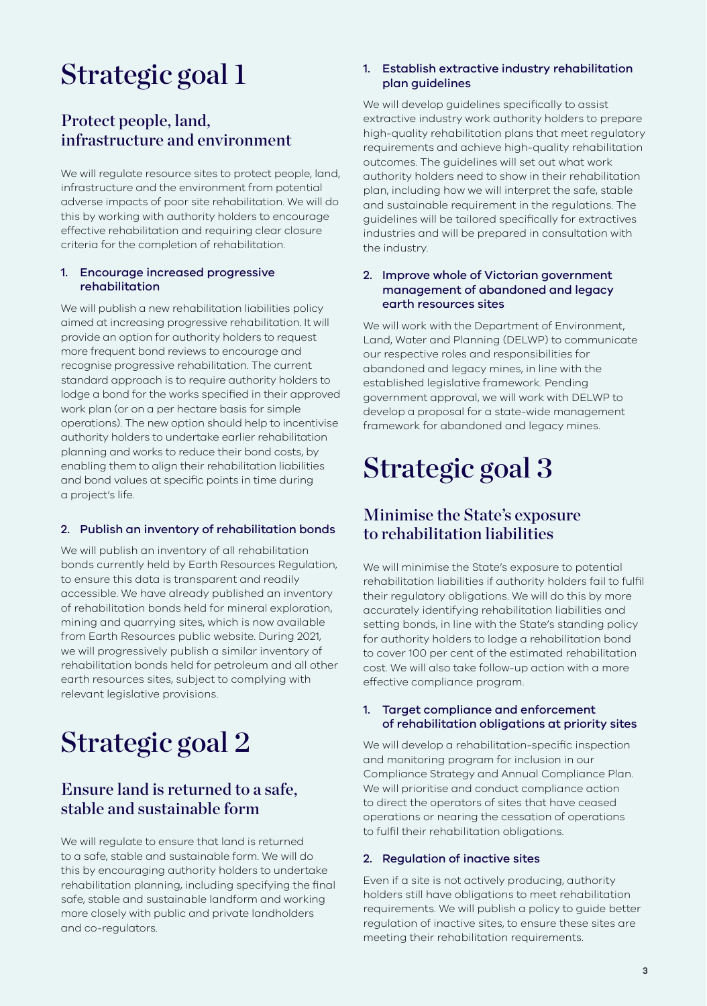## Strategic goal 1

### Protect people, land, infrastructure and environment

We will regulate resource sites to protect people, land, infrastructure and the environment from potential adverse impacts of poor site rehabilitation. We will do this by working with authority holders to encourage effective rehabilitation and requiring clear closure criteria for the completion of rehabilitation.

#### 1. Encourage increased progressive rehabilitation

We will publish a new rehabilitation liabilities policy aimed at increasing progressive rehabilitation. It will provide an option for authority holders to request more frequent bond reviews to encourage and recognise progressive rehabilitation. The current standard approach is to require authority holders to lodge a bond for the works specified in their approved work plan (or on a per hectare basis for simple operations). The new option should help to incentivise authority holders to undertake earlier rehabilitation planning and works to reduce their bond costs, by enabling them to align their rehabilitation liabilities and bond values at specific points in time during a project's life.

#### 2. Publish an inventory of rehabilitation bonds

We will publish an inventory of all rehabilitation bonds currently held by Earth Resources Regulation, to ensure this data is transparent and readily accessible. We have already published an inventory of rehabilitation bonds held for mineral exploration, mining and quarrying sites, which is now available from Earth Resources public website. During 2021, we will progressively publish a similar inventory of rehabilitation bonds held for petroleum and all other earth resources sites, subject to complying with relevant legislative provisions.

# Strategic goal 2

### Ensure land is returned to a safe, stable and sustainable form

We will regulate to ensure that land is returned to a safe, stable and sustainable form. We will do this by encouraging authority holders to undertake rehabilitation planning, including specifying the final safe, stable and sustainable landform and working more closely with public and private landholders and co-regulators.

#### 1. Establish extractive industry rehabilitation plan guidelines

We will develop guidelines specifically to assist extractive industry work authority holders to prepare high-quality rehabilitation plans that meet regulatory requirements and achieve high-quality rehabilitation outcomes. The guidelines will set out what work authority holders need to show in their rehabilitation plan, including how we will interpret the safe, stable and sustainable requirement in the regulations. The guidelines will be tailored specifically for extractives industries and will be prepared in consultation with the industry.

#### 2. Improve whole of Victorian government management of abandoned and legacy earth resources sites

We will work with the Department of Environment, Land, Water and Planning (DELWP) to communicate our respective roles and responsibilities for abandoned and legacy mines, in line with the established legislative framework. Pending government approval, we will work with DELWP to develop a proposal for a state-wide management framework for abandoned and legacy mines.

# Strategic goal 3

### Minimise the State's exposure to rehabilitation liabilities

We will minimise the State's exposure to potential rehabilitation liabilities if authority holders fail to fulfil their regulatory obligations. We will do this by more accurately identifying rehabilitation liabilities and setting bonds, in line with the State's standing policy for authority holders to lodge a rehabilitation bond to cover 100 per cent of the estimated rehabilitation cost. We will also take follow-up action with a more effective compliance program.

#### 1. Target compliance and enforcement of rehabilitation obligations at priority sites

We will develop a rehabilitation-specific inspection and monitoring program for inclusion in our Compliance Strategy and Annual Compliance Plan. We will prioritise and conduct compliance action to direct the operators of sites that have ceased operations or nearing the cessation of operations to fulfil their rehabilitation obligations.

#### 2. Regulation of inactive sites

Even if a site is not actively producing, authority holders still have obligations to meet rehabilitation requirements. We will publish a policy to guide better regulation of inactive sites, to ensure these sites are meeting their rehabilitation requirements.